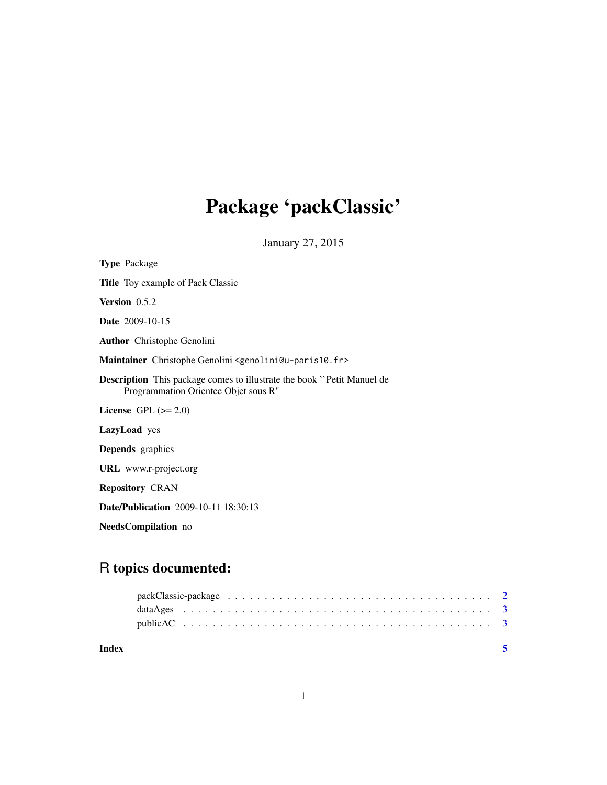# Package 'packClassic'

January 27, 2015

<span id="page-0-0"></span>

| <b>Type Package</b>                                                                                                   |
|-----------------------------------------------------------------------------------------------------------------------|
| <b>Title</b> Toy example of Pack Classic                                                                              |
| Version 0.5.2                                                                                                         |
| <b>Date</b> 2009-10-15                                                                                                |
| <b>Author</b> Christophe Genolini                                                                                     |
| Maintainer Christophe Genolini <genolini@u-paris10.fr></genolini@u-paris10.fr>                                        |
| <b>Description</b> This package comes to illustrate the book "Petit Manuel de<br>Programmation Orientee Objet sous R" |
| License GPL $(>= 2.0)$                                                                                                |
| <b>LazyLoad</b> yes                                                                                                   |
| <b>Depends</b> graphics                                                                                               |
| <b>URL</b> www.r-project.org                                                                                          |
| <b>Repository CRAN</b>                                                                                                |
| <b>Date/Publication</b> 2009-10-11 18:30:13                                                                           |
| <b>NeedsCompilation</b> no                                                                                            |

# R topics documented: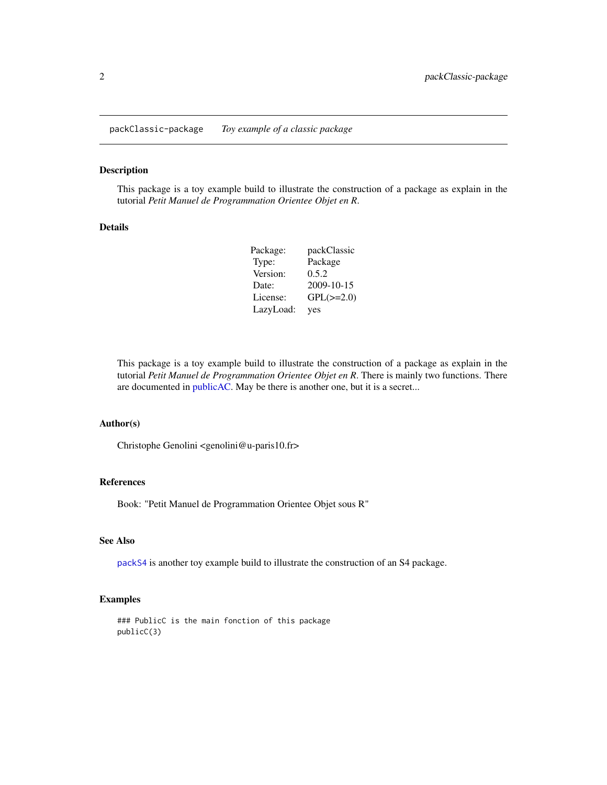<span id="page-1-0"></span>packClassic-package *Toy example of a classic package*

#### Description

This package is a toy example build to illustrate the construction of a package as explain in the tutorial *Petit Manuel de Programmation Orientee Objet en R*.

#### Details

| Package:  | packClassic    |
|-----------|----------------|
| Type:     | Package        |
| Version:  | 0.5.2          |
| Date:     | 2009-10-15     |
| License:  | $GPL(\ge=2.0)$ |
| LazyLoad: | yes            |

This package is a toy example build to illustrate the construction of a package as explain in the tutorial *Petit Manuel de Programmation Orientee Objet en R*. There is mainly two functions. There are documented in [publicAC.](#page-2-1) May be there is another one, but it is a secret...

#### Author(s)

Christophe Genolini <genolini@u-paris10.fr>

### References

Book: "Petit Manuel de Programmation Orientee Objet sous R"

#### See Also

[packS4](#page-0-0) is another toy example build to illustrate the construction of an S4 package.

#### Examples

### PublicC is the main fonction of this package publicC(3)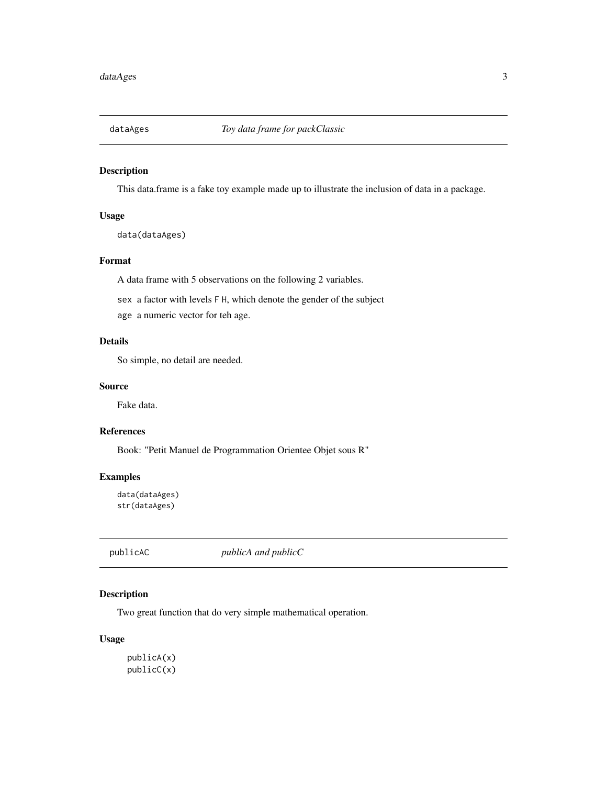<span id="page-2-0"></span>

# Description

This data.frame is a fake toy example made up to illustrate the inclusion of data in a package.

#### Usage

data(dataAges)

#### Format

A data frame with 5 observations on the following 2 variables.

sex a factor with levels F H, which denote the gender of the subject

age a numeric vector for teh age.

### Details

So simple, no detail are needed.

#### Source

Fake data.

#### References

Book: "Petit Manuel de Programmation Orientee Objet sous R"

# Examples

```
data(dataAges)
str(dataAges)
```
<span id="page-2-1"></span>publicAC *publicA and publicC*

# Description

Two great function that do very simple mathematical operation.

#### Usage

publicA(x) publicC(x)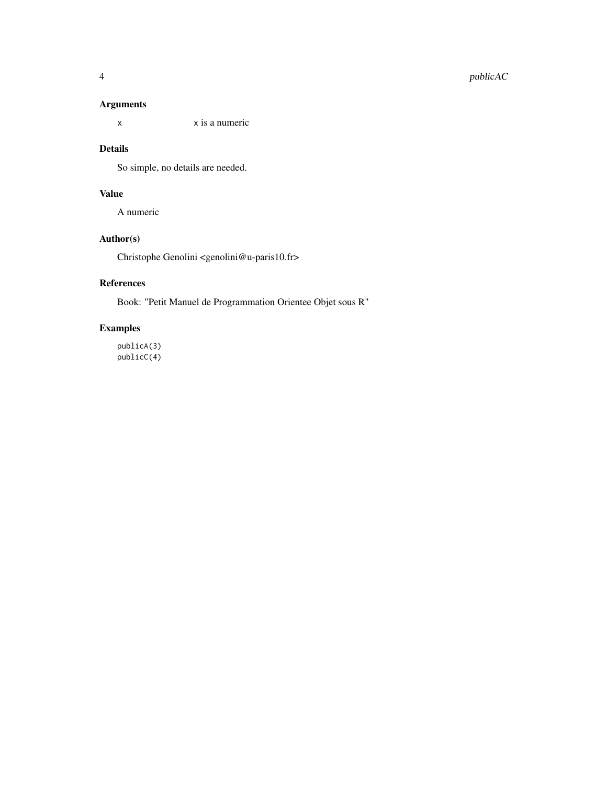# Arguments

x x is a numeric

#### Details

So simple, no details are needed.

# Value

A numeric

# Author(s)

Christophe Genolini <genolini@u-paris10.fr>

# References

Book: "Petit Manuel de Programmation Orientee Objet sous R"

# Examples

publicA(3) publicC(4)